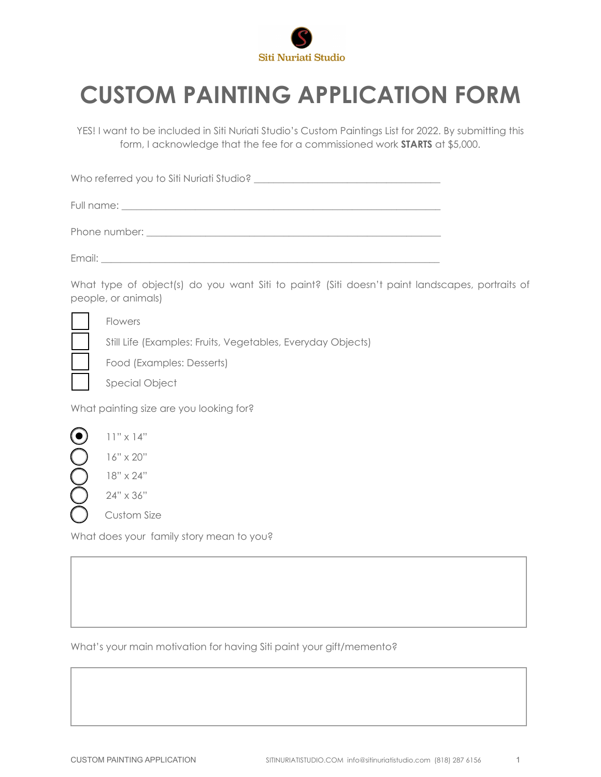

## **CUSTOM PAINTING APPLICATION FORM**

YES! I want to be included in Siti Nuriati Studio's Custom Paintings List for 2022. By submitting this form, I acknowledge that the fee for a commissioned work **STARTS** at \$5,000.

Who referred you to Siti Nuriati Studio? \_\_\_\_\_\_\_\_\_\_\_\_\_\_\_\_\_\_\_\_\_\_\_\_\_\_\_\_\_\_\_\_\_\_\_\_\_\_

Full name: \_\_\_\_\_\_\_\_\_\_\_\_\_\_\_\_\_\_\_\_\_\_\_\_\_\_\_\_\_\_\_\_\_\_\_\_\_\_\_\_\_\_\_\_\_\_\_\_\_\_\_\_\_\_\_\_\_\_\_\_\_\_\_\_\_

Phone number:

Email: **Email:**  $\frac{1}{2}$ 

What type of object(s) do you want Siti to paint? (Siti doesn't paint landscapes, portraits of people, or animals)

Flowers

Still Life (Examples: Fruits, Vegetables, Everyday Objects)

Food (Examples: Desserts)

Special Object

What painting size are you looking for?



What does your family story mean to you?

What's your main motivation for having Siti paint your gift/memento?